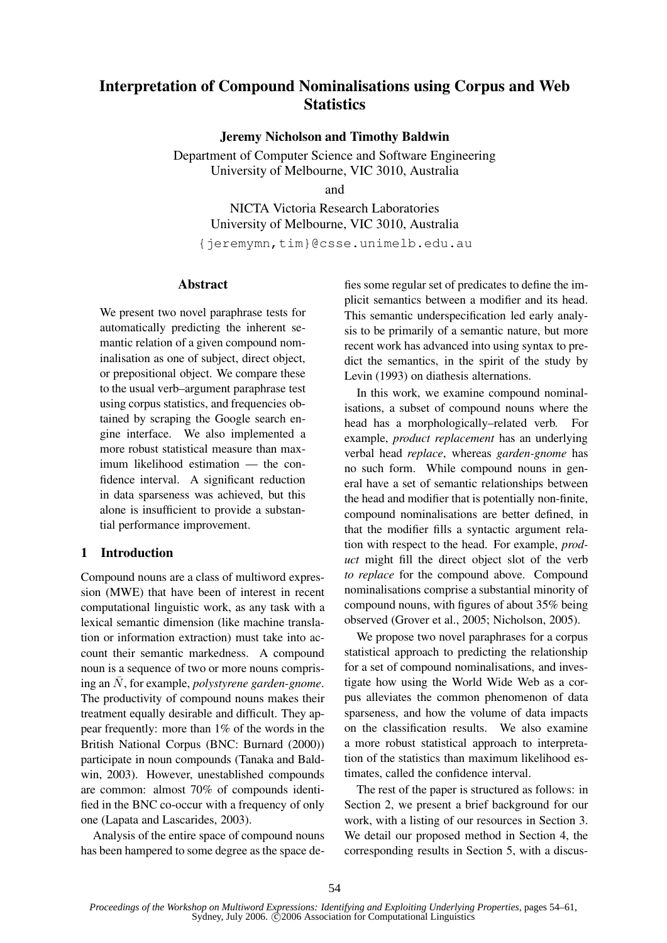# **Interpretation of Compound Nominalisations using Corpus and Web Statistics**

**Jeremy Nicholson and Timothy Baldwin**

Department of Computer Science and Software Engineering University of Melbourne, VIC 3010, Australia

and

NICTA Victoria Research Laboratories University of Melbourne, VIC 3010, Australia

{jeremymn,tim}@csse.unimelb.edu.au

#### **Abstract**

We present two novel paraphrase tests for automatically predicting the inherent semantic relation of a given compound nominalisation as one of subject, direct object, or prepositional object. We compare these to the usual verb–argument paraphrase test using corpus statistics, and frequencies obtained by scraping the Google search engine interface. We also implemented a more robust statistical measure than maximum likelihood estimation — the confidence interval. A significant reduction in data sparseness was achieved, but this alone is insufficient to provide a substantial performance improvement.

# **1 Introduction**

Compound nouns are a class of multiword expression (MWE) that have been of interest in recent computational linguistic work, as any task with a lexical semantic dimension (like machine translation or information extraction) must take into account their semantic markedness. A compound noun is a sequence of two or more nouns comprising an  $\overline{N}$ , for example, *polystyrene garden-gnome*. The productivity of compound nouns makes their treatment equally desirable and difficult. They appear frequently: more than 1% of the words in the British National Corpus (BNC: Burnard (2000)) participate in noun compounds (Tanaka and Baldwin, 2003). However, unestablished compounds are common: almost 70% of compounds identified in the BNC co-occur with a frequency of only one (Lapata and Lascarides, 2003).

Analysis of the entire space of compound nouns has been hampered to some degree as the space de-

fies some regular set of predicates to define the implicit semantics between a modifier and its head. This semantic underspecification led early analysis to be primarily of a semantic nature, but more recent work has advanced into using syntax to predict the semantics, in the spirit of the study by Levin (1993) on diathesis alternations.

In this work, we examine compound nominalisations, a subset of compound nouns where the head has a morphologically–related verb. For example, *product replacement* has an underlying verbal head *replace*, whereas *garden-gnome* has no such form. While compound nouns in general have a set of semantic relationships between the head and modifier that is potentially non-finite, compound nominalisations are better defined, in that the modifier fills a syntactic argument relation with respect to the head. For example, *product* might fill the direct object slot of the verb *to replace* for the compound above. Compound nominalisations comprise a substantial minority of compound nouns, with figures of about 35% being observed (Grover et al., 2005; Nicholson, 2005).

We propose two novel paraphrases for a corpus statistical approach to predicting the relationship for a set of compound nominalisations, and investigate how using the World Wide Web as a corpus alleviates the common phenomenon of data sparseness, and how the volume of data impacts on the classification results. We also examine a more robust statistical approach to interpretation of the statistics than maximum likelihood estimates, called the confidence interval.

The rest of the paper is structured as follows: in Section 2, we present a brief background for our work, with a listing of our resources in Section 3. We detail our proposed method in Section 4, the corresponding results in Section 5, with a discus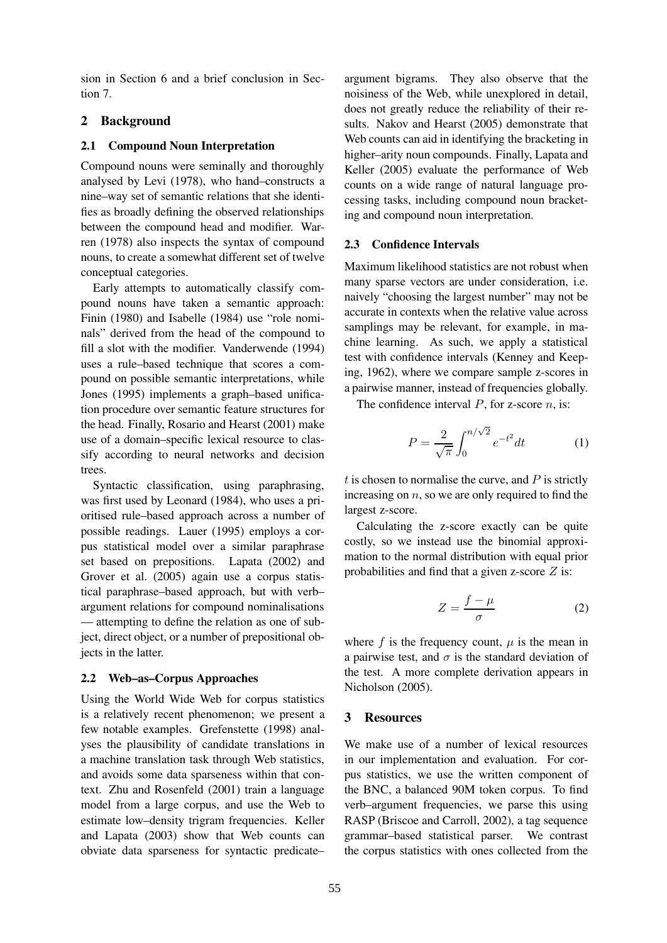sion in Section 6 and a brief conclusion in Section 7.

# **2 Background**

## **2.1 Compound Noun Interpretation**

Compound nouns were seminally and thoroughly analysed by Levi (1978), who hand–constructs a nine–way set of semantic relations that she identifies as broadly defining the observed relationships between the compound head and modifier. Warren (1978) also inspects the syntax of compound nouns, to create a somewhat different set of twelve conceptual categories.

Early attempts to automatically classify compound nouns have taken a semantic approach: Finin (1980) and Isabelle (1984) use "role nominals" derived from the head of the compound to fill a slot with the modifier. Vanderwende (1994) uses a rule–based technique that scores a compound on possible semantic interpretations, while Jones (1995) implements a graph–based unification procedure over semantic feature structures for the head. Finally, Rosario and Hearst (2001) make use of a domain–specific lexical resource to classify according to neural networks and decision trees.

Syntactic classification, using paraphrasing, was first used by Leonard (1984), who uses a prioritised rule–based approach across a number of possible readings. Lauer (1995) employs a corpus statistical model over a similar paraphrase set based on prepositions. Lapata (2002) and Grover et al. (2005) again use a corpus statistical paraphrase–based approach, but with verb– argument relations for compound nominalisations — attempting to define the relation as one of subject, direct object, or a number of prepositional objects in the latter.

# **2.2 Web–as–Corpus Approaches**

Using the World Wide Web for corpus statistics is a relatively recent phenomenon; we present a few notable examples. Grefenstette (1998) analyses the plausibility of candidate translations in a machine translation task through Web statistics, and avoids some data sparseness within that context. Zhu and Rosenfeld (2001) train a language model from a large corpus, and use the Web to estimate low–density trigram frequencies. Keller and Lapata (2003) show that Web counts can obviate data sparseness for syntactic predicate–

argument bigrams. They also observe that the noisiness of the Web, while unexplored in detail, does not greatly reduce the reliability of their results. Nakov and Hearst (2005) demonstrate that Web counts can aid in identifying the bracketing in higher–arity noun compounds. Finally, Lapata and Keller (2005) evaluate the performance of Web counts on a wide range of natural language processing tasks, including compound noun bracketing and compound noun interpretation.

## **2.3 Confidence Intervals**

Maximum likelihood statistics are not robust when many sparse vectors are under consideration, i.e. naively "choosing the largest number" may not be accurate in contexts when the relative value across samplings may be relevant, for example, in machine learning. As such, we apply a statistical test with confidence intervals (Kenney and Keeping, 1962), where we compare sample z-scores in a pairwise manner, instead of frequencies globally.

The confidence interval  $P$ , for z-score  $n$ , is:

$$
P = \frac{2}{\sqrt{\pi}} \int_0^{n/\sqrt{2}} e^{-t^2} dt
$$
 (1)

 $t$  is chosen to normalise the curve, and  $P$  is strictly increasing on  $n$ , so we are only required to find the largest z-score.

Calculating the z-score exactly can be quite costly, so we instead use the binomial approximation to the normal distribution with equal prior probabilities and find that a given z-score  $Z$  is:

$$
Z = \frac{f - \mu}{\sigma} \tag{2}
$$

where f is the frequency count,  $\mu$  is the mean in a pairwise test, and  $\sigma$  is the standard deviation of the test. A more complete derivation appears in Nicholson (2005).

# **3 Resources**

We make use of a number of lexical resources in our implementation and evaluation. For corpus statistics, we use the written component of the BNC, a balanced 90M token corpus. To find verb–argument frequencies, we parse this using RASP (Briscoe and Carroll, 2002), a tag sequence grammar–based statistical parser. We contrast the corpus statistics with ones collected from the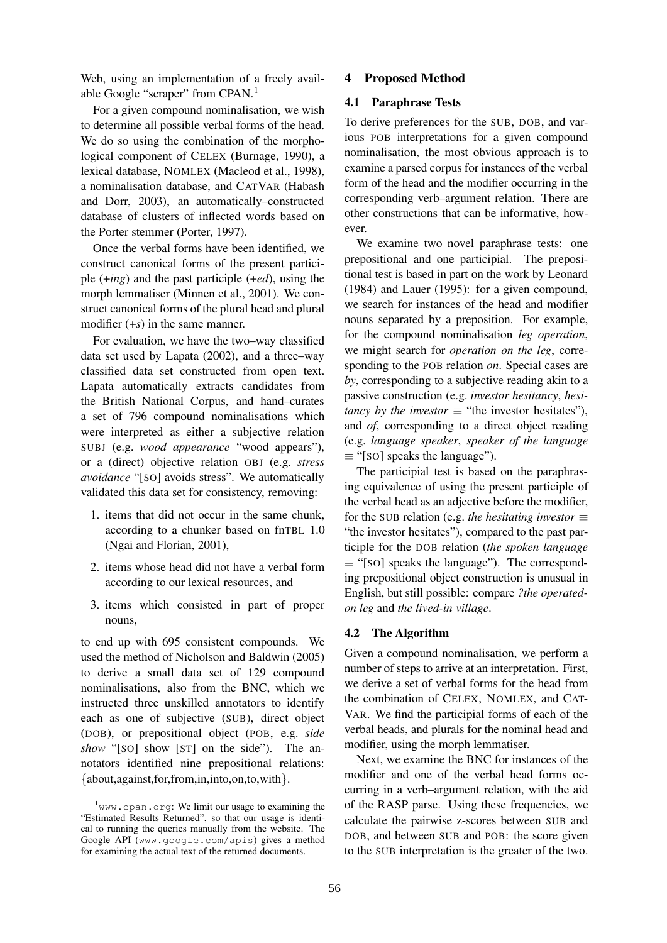Web, using an implementation of a freely available Google "scraper" from CPAN.<sup>1</sup>

For a given compound nominalisation, we wish to determine all possible verbal forms of the head. We do so using the combination of the morphological component of CELEX (Burnage, 1990), a lexical database, NOMLEX (Macleod et al., 1998), a nominalisation database, and CATVAR (Habash and Dorr, 2003), an automatically–constructed database of clusters of inflected words based on the Porter stemmer (Porter, 1997).

Once the verbal forms have been identified, we construct canonical forms of the present participle (+*ing*) and the past participle (+*ed*), using the morph lemmatiser (Minnen et al., 2001). We construct canonical forms of the plural head and plural modifier (+*s*) in the same manner.

For evaluation, we have the two–way classified data set used by Lapata (2002), and a three–way classified data set constructed from open text. Lapata automatically extracts candidates from the British National Corpus, and hand–curates a set of 796 compound nominalisations which were interpreted as either a subjective relation SUBJ (e.g. *wood appearance* "wood appears"), or a (direct) objective relation OBJ (e.g. *stress avoidance* "[SO] avoids stress". We automatically validated this data set for consistency, removing:

- 1. items that did not occur in the same chunk, according to a chunker based on fnTBL 1.0 (Ngai and Florian, 2001),
- 2. items whose head did not have a verbal form according to our lexical resources, and
- 3. items which consisted in part of proper nouns,

to end up with 695 consistent compounds. We used the method of Nicholson and Baldwin (2005) to derive a small data set of 129 compound nominalisations, also from the BNC, which we instructed three unskilled annotators to identify each as one of subjective (SUB), direct object (DOB), or prepositional object (POB, e.g. *side show* "[SO] show [ST] on the side"). The annotators identified nine prepositional relations: {about,against,for,from,in,into,on,to,with}.

#### **4 Proposed Method**

## **4.1 Paraphrase Tests**

To derive preferences for the SUB, DOB, and various POB interpretations for a given compound nominalisation, the most obvious approach is to examine a parsed corpus for instances of the verbal form of the head and the modifier occurring in the corresponding verb–argument relation. There are other constructions that can be informative, however.

We examine two novel paraphrase tests: one prepositional and one participial. The prepositional test is based in part on the work by Leonard (1984) and Lauer (1995): for a given compound, we search for instances of the head and modifier nouns separated by a preposition. For example, for the compound nominalisation *leg operation*, we might search for *operation on the leg*, corresponding to the POB relation *on*. Special cases are *by*, corresponding to a subjective reading akin to a passive construction (e.g. *investor hesitancy*, *hesitancy by the investor*  $\equiv$  "*the investor hesitates"*), and *of*, corresponding to a direct object reading (e.g. *language speaker*, *speaker of the language*  $\equiv$  "[SO] speaks the language").

The participial test is based on the paraphrasing equivalence of using the present participle of the verbal head as an adjective before the modifier, for the SUB relation (e.g. *the hesitating investor*  $\equiv$ "the investor hesitates"), compared to the past participle for the DOB relation (*the spoken language*  $\equiv$  "[SO] speaks the language"). The corresponding prepositional object construction is unusual in English, but still possible: compare *?the operatedon leg* and *the lived-in village*.

#### **4.2 The Algorithm**

Given a compound nominalisation, we perform a number of steps to arrive at an interpretation. First, we derive a set of verbal forms for the head from the combination of CELEX, NOMLEX, and CAT-VAR. We find the participial forms of each of the verbal heads, and plurals for the nominal head and modifier, using the morph lemmatiser.

Next, we examine the BNC for instances of the modifier and one of the verbal head forms occurring in a verb–argument relation, with the aid of the RASP parse. Using these frequencies, we calculate the pairwise z-scores between SUB and DOB, and between SUB and POB: the score given to the SUB interpretation is the greater of the two.

 $1$ <sub>WWW</sub>.cpan.org: We limit our usage to examining the "Estimated Results Returned", so that our usage is identical to running the queries manually from the website. The Google API (www.google.com/apis) gives a method for examining the actual text of the returned documents.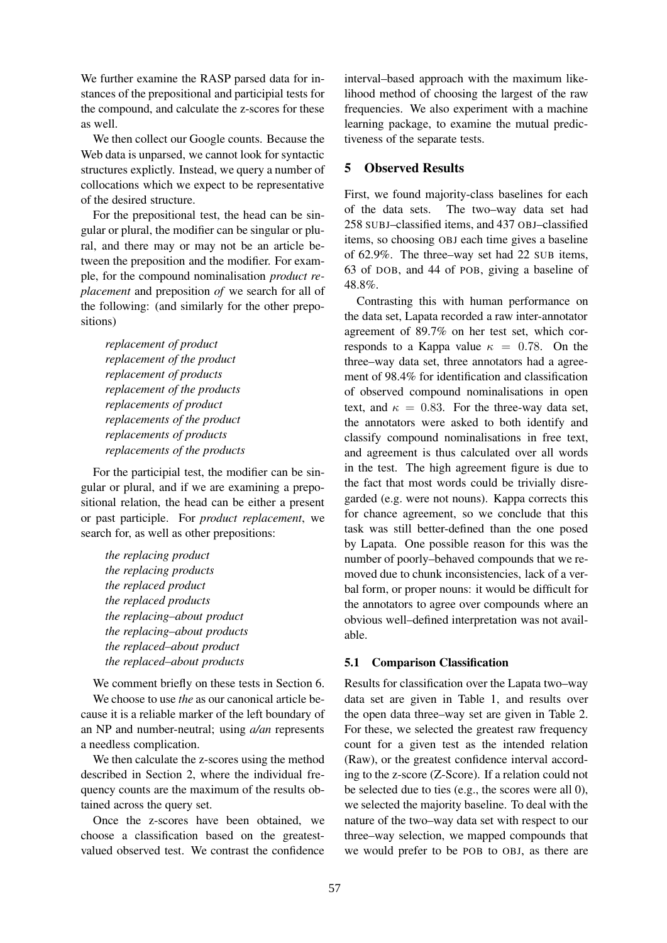We further examine the RASP parsed data for instances of the prepositional and participial tests for the compound, and calculate the z-scores for these as well.

We then collect our Google counts. Because the Web data is unparsed, we cannot look for syntactic structures explictly. Instead, we query a number of collocations which we expect to be representative of the desired structure.

For the prepositional test, the head can be singular or plural, the modifier can be singular or plural, and there may or may not be an article between the preposition and the modifier. For example, for the compound nominalisation *product replacement* and preposition *of* we search for all of the following: (and similarly for the other prepositions)

*replacement of product replacement of the product replacement of products replacement of the products replacements of product replacements of the product replacements of products replacements of the products*

For the participial test, the modifier can be singular or plural, and if we are examining a prepositional relation, the head can be either a present or past participle. For *product replacement*, we search for, as well as other prepositions:

*the replacing product the replacing products the replaced product the replaced products the replacing–about product the replacing–about products the replaced–about product the replaced–about products*

We comment briefly on these tests in Section 6.

We choose to use *the* as our canonical article because it is a reliable marker of the left boundary of an NP and number-neutral; using *a/an* represents a needless complication.

We then calculate the z-scores using the method described in Section 2, where the individual frequency counts are the maximum of the results obtained across the query set.

Once the z-scores have been obtained, we choose a classification based on the greatestvalued observed test. We contrast the confidence

interval–based approach with the maximum likelihood method of choosing the largest of the raw frequencies. We also experiment with a machine learning package, to examine the mutual predictiveness of the separate tests.

## **5 Observed Results**

First, we found majority-class baselines for each of the data sets. The two–way data set had 258 SUBJ–classified items, and 437 OBJ–classified items, so choosing OBJ each time gives a baseline of 62.9%. The three–way set had 22 SUB items, 63 of DOB, and 44 of POB, giving a baseline of 48.8%.

Contrasting this with human performance on the data set, Lapata recorded a raw inter-annotator agreement of 89.7% on her test set, which corresponds to a Kappa value  $\kappa = 0.78$ . On the three–way data set, three annotators had a agreement of 98.4% for identification and classification of observed compound nominalisations in open text, and  $\kappa = 0.83$ . For the three-way data set, the annotators were asked to both identify and classify compound nominalisations in free text, and agreement is thus calculated over all words in the test. The high agreement figure is due to the fact that most words could be trivially disregarded (e.g. were not nouns). Kappa corrects this for chance agreement, so we conclude that this task was still better-defined than the one posed by Lapata. One possible reason for this was the number of poorly–behaved compounds that we removed due to chunk inconsistencies, lack of a verbal form, or proper nouns: it would be difficult for the annotators to agree over compounds where an obvious well–defined interpretation was not available.

#### **5.1 Comparison Classification**

Results for classification over the Lapata two–way data set are given in Table 1, and results over the open data three–way set are given in Table 2. For these, we selected the greatest raw frequency count for a given test as the intended relation (Raw), or the greatest confidence interval according to the z-score (Z-Score). If a relation could not be selected due to ties (e.g., the scores were all 0), we selected the majority baseline. To deal with the nature of the two–way data set with respect to our three–way selection, we mapped compounds that we would prefer to be POB to OBJ, as there are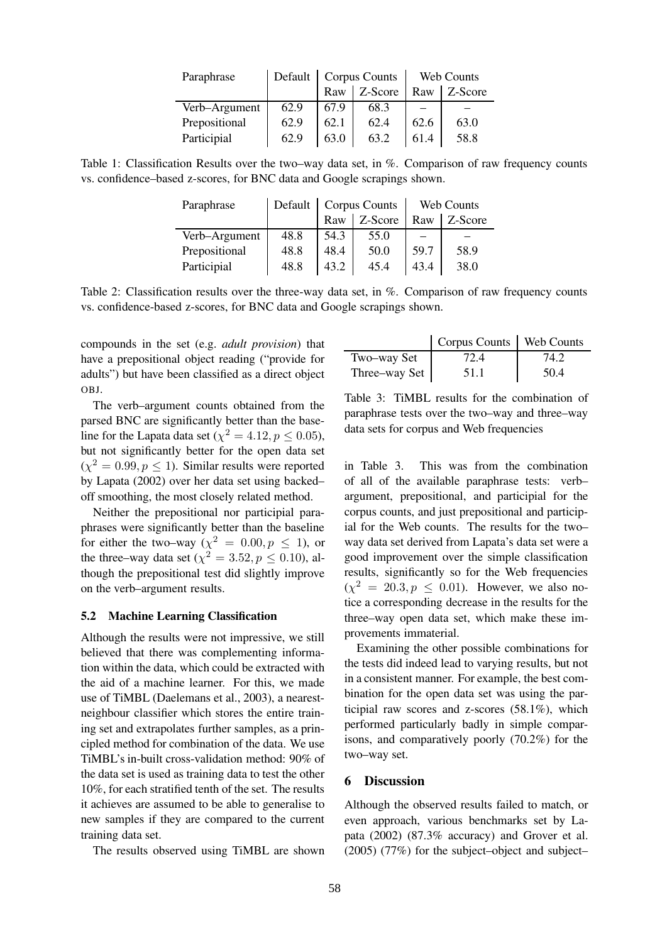| Paraphrase    | Default | <b>Corpus Counts</b> |         | Web Counts |         |
|---------------|---------|----------------------|---------|------------|---------|
|               |         | Raw                  | Z-Score | Raw        | Z-Score |
| Verb-Argument | 62.9    | 67.9                 | 68.3    |            |         |
| Prepositional | 62.9    | 62.1                 | 62.4    | 62.6       | 63.0    |
| Participial   | 62.9    | 63.0                 | 63.2    | 61.4       | 58.8    |

Table 1: Classification Results over the two–way data set, in %. Comparison of raw frequency counts vs. confidence–based z-scores, for BNC data and Google scrapings shown.

| Paraphrase    | Default | <b>Corpus Counts</b> |         | Web Counts |         |
|---------------|---------|----------------------|---------|------------|---------|
|               |         | Raw                  | Z-Score | Raw        | Z-Score |
| Verb-Argument | 48.8    | 54.3                 | 55.0    |            |         |
| Prepositional | 48.8    | 48.4                 | 50.0    | 59.7       | 58.9    |
| Participial   | 48.8    | 43.2                 | 45.4    | 43.4       | 38.0    |

Table 2: Classification results over the three-way data set, in %. Comparison of raw frequency counts vs. confidence-based z-scores, for BNC data and Google scrapings shown.

compounds in the set (e.g. *adult provision*) that have a prepositional object reading ("provide for adults") but have been classified as a direct object OBJ.

The verb–argument counts obtained from the parsed BNC are significantly better than the baseline for the Lapata data set ( $\chi^2 = 4.12, p \le 0.05$ ), but not significantly better for the open data set  $(\chi^2 = 0.99, p \le 1)$ . Similar results were reported by Lapata (2002) over her data set using backed– off smoothing, the most closely related method.

Neither the prepositional nor participial paraphrases were significantly better than the baseline for either the two–way  $(\chi^2 = 0.00, p \le 1)$ , or the three–way data set  $(\chi^2 = 3.52, p \le 0.10)$ , although the prepositional test did slightly improve on the verb–argument results.

#### **5.2 Machine Learning Classification**

Although the results were not impressive, we still believed that there was complementing information within the data, which could be extracted with the aid of a machine learner. For this, we made use of TiMBL (Daelemans et al., 2003), a nearestneighbour classifier which stores the entire training set and extrapolates further samples, as a principled method for combination of the data. We use TiMBL's in-built cross-validation method: 90% of the data set is used as training data to test the other 10%, for each stratified tenth of the set. The results it achieves are assumed to be able to generalise to new samples if they are compared to the current training data set.

The results observed using TiMBL are shown

|               | Corpus Counts   Web Counts |      |
|---------------|----------------------------|------|
| Two-way Set   | 72.4                       | 74.2 |
| Three-way Set | 51.1                       | 50.4 |

Table 3: TiMBL results for the combination of paraphrase tests over the two–way and three–way data sets for corpus and Web frequencies

in Table 3. This was from the combination of all of the available paraphrase tests: verb– argument, prepositional, and participial for the corpus counts, and just prepositional and participial for the Web counts. The results for the two– way data set derived from Lapata's data set were a good improvement over the simple classification results, significantly so for the Web frequencies  $(\chi^2 = 20.3, p \le 0.01)$ . However, we also notice a corresponding decrease in the results for the three–way open data set, which make these improvements immaterial.

Examining the other possible combinations for the tests did indeed lead to varying results, but not in a consistent manner. For example, the best combination for the open data set was using the participial raw scores and z-scores (58.1%), which performed particularly badly in simple comparisons, and comparatively poorly (70.2%) for the two–way set.

## **6 Discussion**

Although the observed results failed to match, or even approach, various benchmarks set by Lapata (2002) (87.3% accuracy) and Grover et al. (2005) (77%) for the subject–object and subject–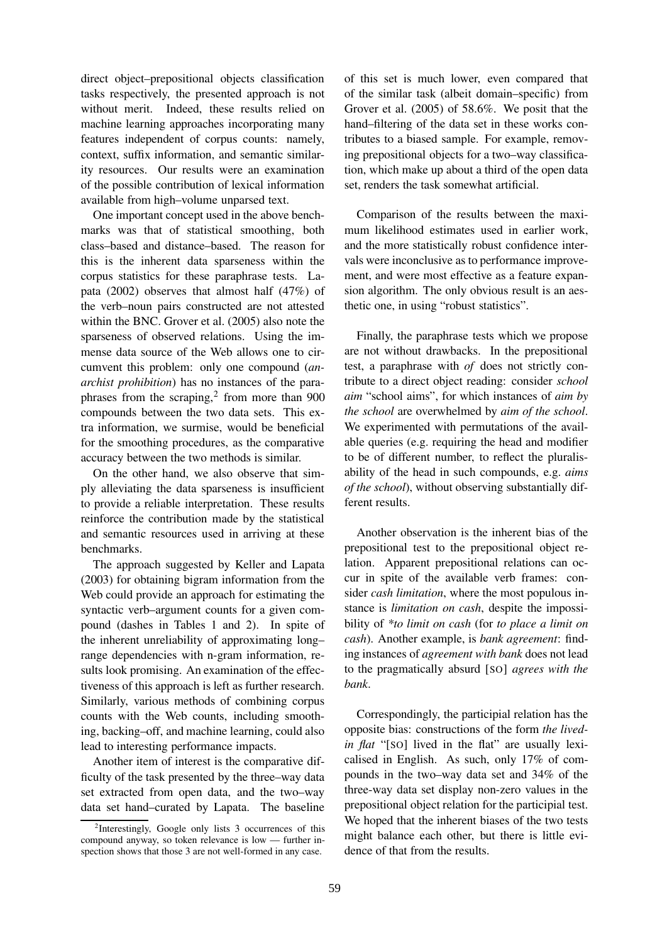direct object–prepositional objects classification tasks respectively, the presented approach is not without merit. Indeed, these results relied on machine learning approaches incorporating many features independent of corpus counts: namely, context, suffix information, and semantic similarity resources. Our results were an examination of the possible contribution of lexical information available from high–volume unparsed text.

One important concept used in the above benchmarks was that of statistical smoothing, both class–based and distance–based. The reason for this is the inherent data sparseness within the corpus statistics for these paraphrase tests. Lapata (2002) observes that almost half (47%) of the verb–noun pairs constructed are not attested within the BNC. Grover et al. (2005) also note the sparseness of observed relations. Using the immense data source of the Web allows one to circumvent this problem: only one compound (*anarchist prohibition*) has no instances of the paraphrases from the scraping, $2$  from more than 900 compounds between the two data sets. This extra information, we surmise, would be beneficial for the smoothing procedures, as the comparative accuracy between the two methods is similar.

On the other hand, we also observe that simply alleviating the data sparseness is insufficient to provide a reliable interpretation. These results reinforce the contribution made by the statistical and semantic resources used in arriving at these benchmarks.

The approach suggested by Keller and Lapata (2003) for obtaining bigram information from the Web could provide an approach for estimating the syntactic verb–argument counts for a given compound (dashes in Tables 1 and 2). In spite of the inherent unreliability of approximating long– range dependencies with n-gram information, results look promising. An examination of the effectiveness of this approach is left as further research. Similarly, various methods of combining corpus counts with the Web counts, including smoothing, backing–off, and machine learning, could also lead to interesting performance impacts.

Another item of interest is the comparative difficulty of the task presented by the three–way data set extracted from open data, and the two–way data set hand–curated by Lapata. The baseline

of this set is much lower, even compared that of the similar task (albeit domain–specific) from Grover et al. (2005) of 58.6%. We posit that the hand–filtering of the data set in these works contributes to a biased sample. For example, removing prepositional objects for a two–way classification, which make up about a third of the open data set, renders the task somewhat artificial.

Comparison of the results between the maximum likelihood estimates used in earlier work, and the more statistically robust confidence intervals were inconclusive as to performance improvement, and were most effective as a feature expansion algorithm. The only obvious result is an aesthetic one, in using "robust statistics".

Finally, the paraphrase tests which we propose are not without drawbacks. In the prepositional test, a paraphrase with *of* does not strictly contribute to a direct object reading: consider *school aim* "school aims", for which instances of *aim by the school* are overwhelmed by *aim of the school*. We experimented with permutations of the available queries (e.g. requiring the head and modifier to be of different number, to reflect the pluralisability of the head in such compounds, e.g. *aims of the school*), without observing substantially different results.

Another observation is the inherent bias of the prepositional test to the prepositional object relation. Apparent prepositional relations can occur in spite of the available verb frames: consider *cash limitation*, where the most populous instance is *limitation on cash*, despite the impossibility of *\*to limit on cash* (for *to place a limit on cash*). Another example, is *bank agreement*: finding instances of *agreement with bank* does not lead to the pragmatically absurd [SO] *agrees with the bank*.

Correspondingly, the participial relation has the opposite bias: constructions of the form *the livedin flat* "[SO] lived in the flat" are usually lexicalised in English. As such, only 17% of compounds in the two–way data set and 34% of the three-way data set display non-zero values in the prepositional object relation for the participial test. We hoped that the inherent biases of the two tests might balance each other, but there is little evidence of that from the results.

<sup>&</sup>lt;sup>2</sup>Interestingly, Google only lists 3 occurrences of this compound anyway, so token relevance is low — further inspection shows that those 3 are not well-formed in any case.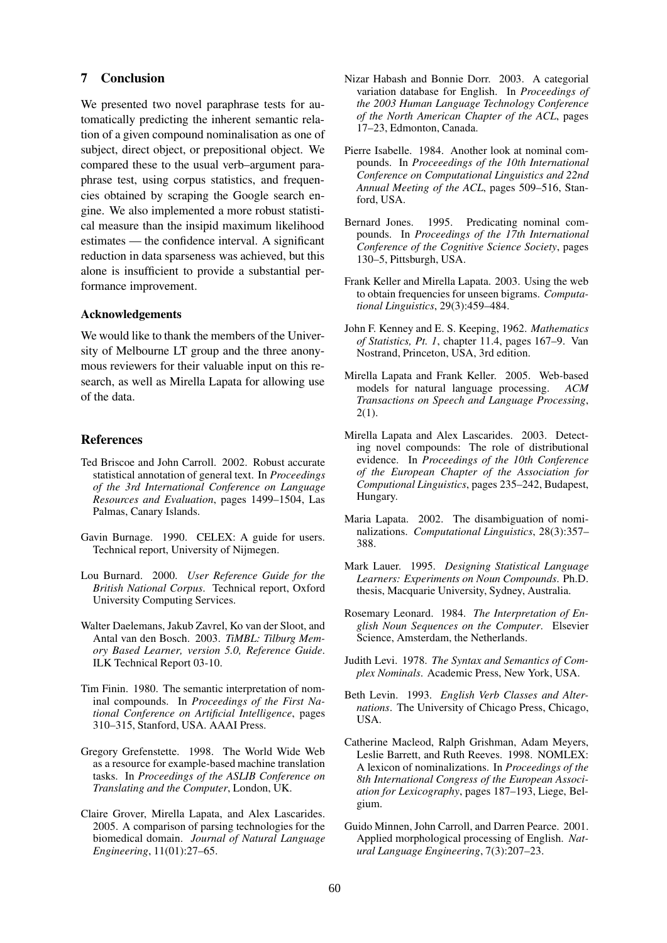# **7 Conclusion**

We presented two novel paraphrase tests for automatically predicting the inherent semantic relation of a given compound nominalisation as one of subject, direct object, or prepositional object. We compared these to the usual verb–argument paraphrase test, using corpus statistics, and frequencies obtained by scraping the Google search engine. We also implemented a more robust statistical measure than the insipid maximum likelihood estimates — the confidence interval. A significant reduction in data sparseness was achieved, but this alone is insufficient to provide a substantial performance improvement.

#### **Acknowledgements**

We would like to thank the members of the University of Melbourne LT group and the three anonymous reviewers for their valuable input on this research, as well as Mirella Lapata for allowing use of the data.

## **References**

- Ted Briscoe and John Carroll. 2002. Robust accurate statistical annotation of general text. In *Proceedings of the 3rd International Conference on Language Resources and Evaluation*, pages 1499–1504, Las Palmas, Canary Islands.
- Gavin Burnage. 1990. CELEX: A guide for users. Technical report, University of Nijmegen.
- Lou Burnard. 2000. *User Reference Guide for the British National Corpus*. Technical report, Oxford University Computing Services.
- Walter Daelemans, Jakub Zavrel, Ko van der Sloot, and Antal van den Bosch. 2003. *TiMBL: Tilburg Memory Based Learner, version 5.0, Reference Guide*. ILK Technical Report 03-10.
- Tim Finin. 1980. The semantic interpretation of nominal compounds. In *Proceedings of the First National Conference on Artificial Intelligence*, pages 310–315, Stanford, USA. AAAI Press.
- Gregory Grefenstette. 1998. The World Wide Web as a resource for example-based machine translation tasks. In *Proceedings of the ASLIB Conference on Translating and the Computer*, London, UK.
- Claire Grover, Mirella Lapata, and Alex Lascarides. 2005. A comparison of parsing technologies for the biomedical domain. *Journal of Natural Language Engineering*, 11(01):27–65.
- Nizar Habash and Bonnie Dorr. 2003. A categorial variation database for English. In *Proceedings of the 2003 Human Language Technology Conference of the North American Chapter of the ACL*, pages 17–23, Edmonton, Canada.
- Pierre Isabelle. 1984. Another look at nominal compounds. In *Proceeedings of the 10th International Conference on Computational Linguistics and 22nd Annual Meeting of the ACL*, pages 509–516, Stanford, USA.
- Bernard Jones. 1995. Predicating nominal compounds. In *Proceedings of the 17th International Conference of the Cognitive Science Society*, pages 130–5, Pittsburgh, USA.
- Frank Keller and Mirella Lapata. 2003. Using the web to obtain frequencies for unseen bigrams. *Computational Linguistics*, 29(3):459–484.
- John F. Kenney and E. S. Keeping, 1962. *Mathematics of Statistics, Pt. 1*, chapter 11.4, pages 167–9. Van Nostrand, Princeton, USA, 3rd edition.
- Mirella Lapata and Frank Keller. 2005. Web-based models for natural language processing. *ACM Transactions on Speech and Language Processing*, 2(1).
- Mirella Lapata and Alex Lascarides. 2003. Detecting novel compounds: The role of distributional evidence. In *Proceedings of the 10th Conference of the European Chapter of the Association for Computional Linguistics*, pages 235–242, Budapest, Hungary.
- Maria Lapata. 2002. The disambiguation of nominalizations. *Computational Linguistics*, 28(3):357– 388.
- Mark Lauer. 1995. *Designing Statistical Language Learners: Experiments on Noun Compounds*. Ph.D. thesis, Macquarie University, Sydney, Australia.
- Rosemary Leonard. 1984. *The Interpretation of English Noun Sequences on the Computer*. Elsevier Science, Amsterdam, the Netherlands.
- Judith Levi. 1978. *The Syntax and Semantics of Complex Nominals*. Academic Press, New York, USA.
- Beth Levin. 1993. *English Verb Classes and Alternations*. The University of Chicago Press, Chicago, USA.
- Catherine Macleod, Ralph Grishman, Adam Meyers, Leslie Barrett, and Ruth Reeves. 1998. NOMLEX: A lexicon of nominalizations. In *Proceedings of the 8th International Congress of the European Association for Lexicography*, pages 187–193, Liege, Belgium.
- Guido Minnen, John Carroll, and Darren Pearce. 2001. Applied morphological processing of English. *Natural Language Engineering*, 7(3):207–23.